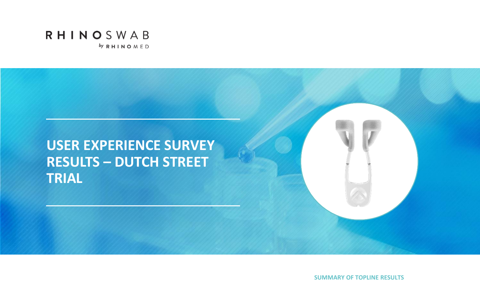



**SUMMARY OF TOPLINE RESULTS**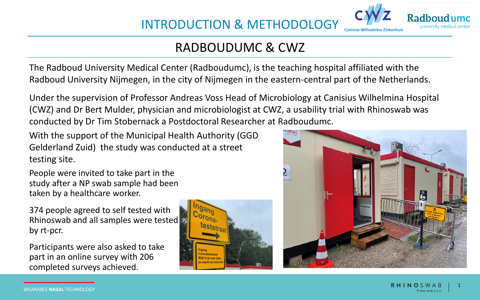

The Radboud University Medical Center (Radboudumc), is the teaching hospital affiliated with the Radboud University Nijmegen, in the city of Nijmegen in the eastern-central part of the Netherlands.

Under the supervision of Professor Andreas Voss Head of Microbiology at Canisius Wilhelmina Hospital (CWZ) and Dr Bert Mulder, physician and microbiologist at CWZ, a usability trial with Rhinoswab was conducted by Dr Tim Stobernack a Postdoctoral Researcher at Radboudumc.

With the support of the Municipal Health Authority (GGD Gelderland Zuid) the study was conducted at a street testing site.

People were invited to take part in the study after a NP swab sample had been taken by a healthcare worker.

374 people agreed to self tested with Rhinoswab and all samples were tested by rt-pcr.

Participants were also asked to take part in an online survey with 206 completed surveys achieved.





Radhoud university medical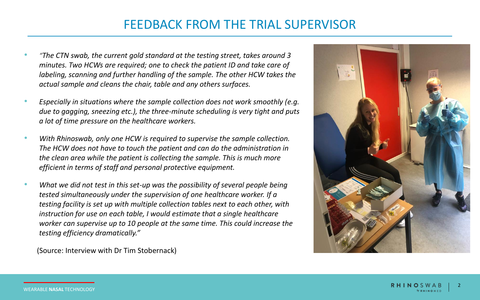## FEEDBACK FROM THE TRIAL SUPERVISOR

- *"The CTN swab, the current gold standard at the testing street, takes around 3 minutes. Two HCWs are required; one to check the patient ID and take care of labeling, scanning and further handling of the sample. The other HCW takes the actual sample and cleans the chair, table and any others surfaces.*
- *Especially in situations where the sample collection does not work smoothly (e.g. due to gagging, sneezing etc.), the three-minute scheduling is very tight and puts a lot of time pressure on the healthcare workers.*
- *With Rhinoswab, only one HCW is required to supervise the sample collection. The HCW does not have to touch the patient and can do the administration in the clean area while the patient is collecting the sample. This is much more efficient in terms of staff and personal protective equipment.*
- *What we did not test in this set-up was the possibility of several people being tested simultaneously under the supervision of one healthcare worker. If a testing facility is set up with multiple collection tables next to each other, with instruction for use on each table, I would estimate that a single healthcare worker can supervise up to 10 people at the same time. This could increase the testing efficiency dramatically."*



(Source: Interview with Dr Tim Stobernack)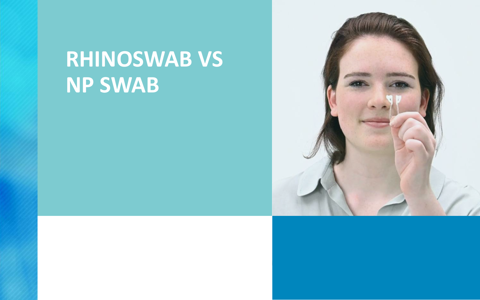# **RHINOSWAB VS NP SWAB**

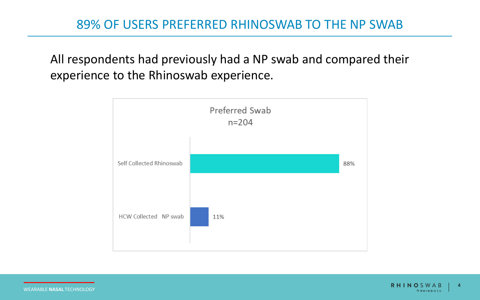All respondents had previously had a NP swab and compared their experience to the Rhinoswab experience.

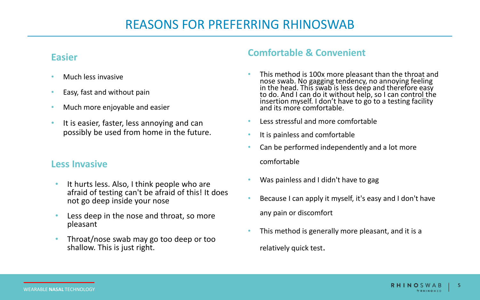## REASONS FOR PREFERRING RHINOSWAB

#### **Easier**

- Much less invasive
- Easy, fast and without pain
- Much more enjoyable and easier
- It is easier, faster, less annoying and can possibly be used from home in the future.

### **Less Invasive**

- It hurts less. Also, I think people who are afraid of testing can't be afraid of this! It does not go deep inside your nose
- Less deep in the nose and throat, so more pleasant
- Throat/nose swab may go too deep or too shallow. This is just right.

### **Comfortable & Convenient**

- This method is 100x more pleasant than the throat and nose swab. No gagging tendency, no annoying feeling in the head. This swab is less deep and therefore easy to do. And I can do it without help, so I can control the insertion myself. I don't have to go to a testing facility and its more comfortable.
- Less stressful and more comfortable
- It is painless and comfortable
- Can be performed independently and a lot more comfortable
- Was painless and I didn't have to gag
- Because I can apply it myself, it's easy and I don't have any pain or discomfort
- This method is generally more pleasant, and it is a relatively quick test.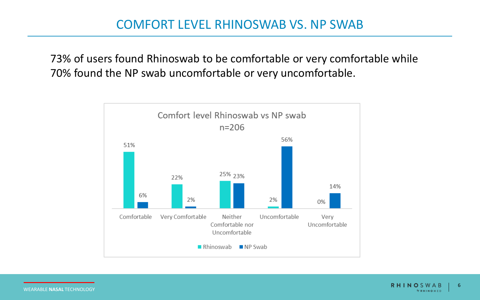73% of users found Rhinoswab to be comfortable or very comfortable while 70% found the NP swab uncomfortable or very uncomfortable.

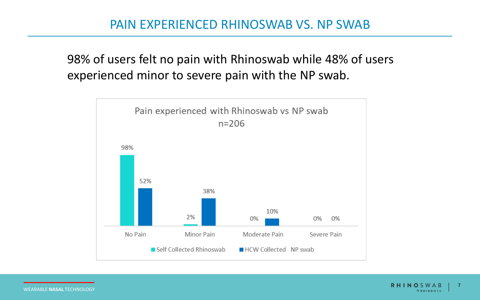# 98% of users felt no pain with Rhinoswab while 48% of users experienced minor to severe pain with the NP swab.

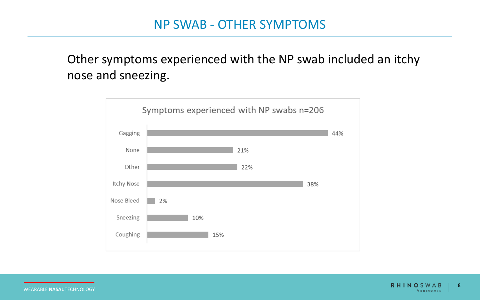# Other symptoms experienced with the NP swab included an itchy nose and sneezing.



WEARABLE **NASAL** TECHNOLOGY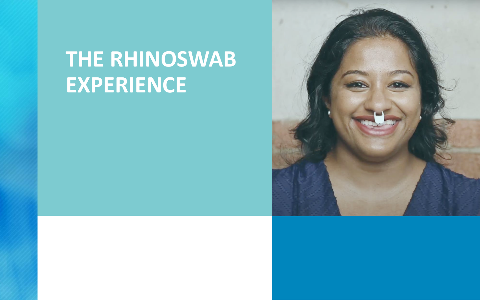# **THE RHINOSWAB EXPERIENCE**

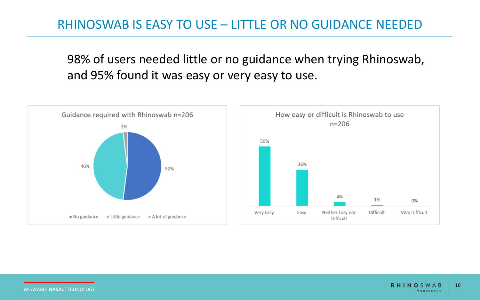## RHINOSWAB IS EASY TO USE – LITTLE OR NO GUIDANCE NEEDED

98% of users needed little or no guidance when trying Rhinoswab, and 95% found it was easy or very easy to use.



WEARABLE **NASAL** TECHNOLOGY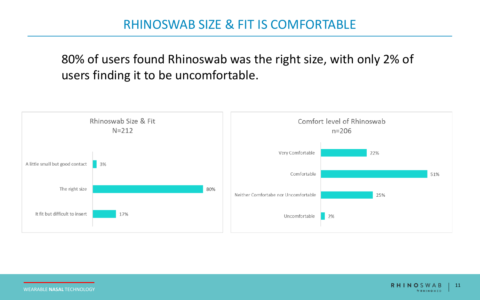80% of users found Rhinoswab was the right size, with only 2% of users finding it to be uncomfortable.